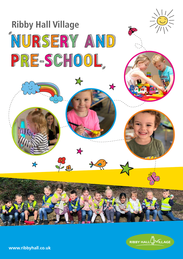



www.ribbyhall.co.uk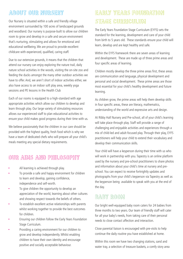### About our Nursery

Our Nursery is situated within a safe and friendly village environment surrounded by 100 acres of landscaped grounds and woodland. Our nursery is purpose-built to allow our children room to grow and develop in a safe and secure environment that's nurturing, stimulating and allows for emotional and educational wellbeing.We are proud to provide excellent childcare with experienced, qualified, caring staff.

Due to our extensive grounds, it means that the children that attend our nursery can enjoy exploring the nature trail, daily nature school activities in the woods, visiting the on-site zoo and feeding the ducks amongst the many other outdoor activities we have to offer. And, we aren't short of indoor activities either, we also have access to an indoor soft play area, weekly yoga sessions and PE lessons in the Health Club

Each of our rooms is equipped to a high-standard with age appropriate activities which allow our children to develop and learn through play. Our large variety of stimulating resources allows our experienced staff to plan educational activities to ensure your child makes good progress during their time with us.

We believe passionately that the children in our care should be provided with the highest quality, fresh food which is why we have a team of dedicated chefs who will prepare all your child's meals meeting any special dietary requirements.

# Our Aims and Philosophy

- All learning is achieved through play.
- To provide a safe and happy environment for children to learn and develop, gaining confidence, independence and self-worth.
- To give children the opportunity to develop an appreciation of the world, learning about other cultures and showing respect towards the beliefs of others.
- To establish excellent active relationships with parents whilst working together to provide the best outcomes for children.
- Ensuring our children follow the Early Years Foundation Stage Curriculum.
- Providing a caring environment for our children to grow and develop independently.Whilst enabling children to have their own identity and encourage positive and socially acceptable behaviour.

# Early Years Foundation STAGE CURRICULUM

The Early Years Foundation Stage Curriculum (EYFS) sets the standard for the learning, development and care of your child from birth to 5 years old. These standards ensure your child will learn, develop and are kept healthy and safe.

Within the EYFS framework there are seven areas of learning and development. These are made up of three prime areas and four specific areas of learning.

Children mostly develop the three prime areas first, these areas are communication and language, physical development and personal and social development. These prime areas are those most essential for your child's healthy development and future learning.

As children grow, the prime areas will help them develop skills in four specific areas, these are literacy, mathematics, understanding of the world and expressive arts and design.

At Ribby Hall Nursery and Pre-school, all of your child's learning will take place through play. Staff will provide a range of challenging and enjoyable activities and experiences through a mix of child-led and adult-focused play. Through their play, EYFS practitioners will help your child to extend their vocabulary and develop their communication skills.

Your child will have a keyperson during their time with us who will work in partnership with you. Tapestry is an online platform used by the nursery and pre-school practitioners to share photos and information about your child's time at nursery and preschool. You can expect to receive fortnightly updates and photographs from your child's keyperson via Tapestry as well as the keyperson being available to speak with you at the end of the day.

### **BABY ROOM**

Our bright well-equipped baby room caters for 24 babies from three months to two years. Our team of friendly staff will cater for all your baby's needs, from taking care of their personal needs to close contact affection and interaction.

Close parental liaison is encouraged with pre-visits to help continue the daily routine you have established at home.

Within this room we have two changing stations, sand and water tray, a selection of treasure baskets, a comfy story area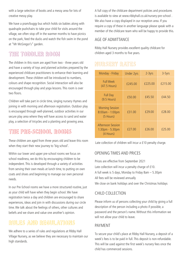with a large selection of books and a messy area for lots of creative messy play.

We have a pram/buggy bus which holds six babies along with quadruple pushchairs to take your child for visits around the village, we often stop off in the warmer months to have picnics on the park, feed the ducks and watch the fish swim in the pond at "Mr McGregor's" garden.

### The Toddler Room

The children in this room are aged from two - three years old and have a variety of toys and planned activities prepared by the experienced childcare practitioners to enhance their learning and development. These children will be introduced to numbers, colours and shape recognition. Social interaction will also be encouraged through play and yoga lessons. This room is over two floors.

Children will take part in circle time, singing nursery rhymes and joining in with morning and afternoon registration. Outdoor play is encouraged through well-planned, outdoor activities in our secure play area where they will have access to sand and water play, a selection of tricycles and a planting and growing area.

### The Pre-School Rooms

These children are aged from three years old and leave this room when they start their new journey to 'big school'.

Within our lower and upper pre-school rooms we focus on school readiness, we do this by encouraging children to be independent. This is developed through a variety of activities from serving their own meals at lunch time, to putting on own coats and shoes and beginning to manage our own personal needs.

In our Pre-School rooms we have a more structured routine, just as your child will have when they begin school.We have registration twice a day and children are encouraged to share experiences, ideas and join in with discussions during our circle time.We talk about the feelings of others, other cultures and beliefs and we share and value one another's opinion.

# Rules and Regulations

We adhere to a series of rules and regulations at Ribby Hall Village Nursery, as we believe they are necessary to maintain our high standards.

A full copy of the childcare department policies and procedures is available to view at www.ribbyhall.co.uk/nursery-pre-school . We also have a copy displayed in our reception area. If you require a copy of these in another language please speak with a member of the childcare team who will be happy to provide this.

### AGE OF ADMITTANCE

Ribby Hall Nursery provides excellent quality childcare for children aged 3 months to five years.

# NURSERY RATES

| Monday - Friday                                        | <b>Under 2yrs</b> | 2-3yrs  | 3-5yrs  |
|--------------------------------------------------------|-------------------|---------|---------|
| <b>Full Week</b><br>(47.5 Hours)                       | £245.00           | £225.00 | £215.00 |
| <b>Full Day</b><br>$(9.5$ Hours)                       | £50.00            | £45.50  | £44.50  |
| <b>Morning Session</b><br>8:00am - 1:00pm<br>(5 Hours) | £31.00            | £29.00  | £28.00  |
| Afternoon Session<br>1:30pm - 5:30pm<br>(4 Hours)      | £27.00            | £26.00  | £25.00  |

Late collection of children will incur a £10 penalty charge.

#### OPENING TIMES AND PRICES

Prices are effective from September 2021 Late collection will incur a penalty charge of £10. A full week is 5 days, Monday to Friday 8am – 5.30pm All fees will be reviewed annually We close on bank holidays and over the Christmas holidays

### CHILD COLLECTION

Please inform us of persons collecting your child by giving a full description of the person including a photo if possible, a password and the person's name.Without this information we will not allow your child to leave.

#### PAYMENT

To secure your child's place at Ribby Hall Nursery, a deposit of a week's fees is to be paid in full. This deposit is non-refundable. This will be used against the first week's nursery fees once the child has commenced sessions.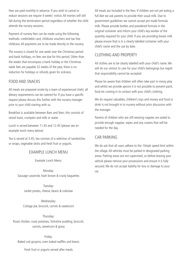Fees are paid monthly in advance. If you wish to cancel or reduce sessions we require 4 weeks' notice. All monies will still fall during the termination period regardless of whether the child attends the nursery sessions.

Payment of nursery fees can be made using the following methods: credit/debit card, childcare vouchers and tax free childcare. All payments are to be made directly to the nursery.

The nursery is closed for one week over the Christmas period and bank holidays, no fees are due for this period. Other than the weeks that encompass a bank holiday or the Christmas week fees are payable 52 weeks of the year, there is no reduction for holidays or refunds given for sickness.

### FOOD AND SNACKS

All meals are prepared onsite by a team of experienced chefs; all dietary requirements can be catered for. If you have a specific request please discuss this further with the nursery manager prior to your child starting with us.

Breakfast is available between 8am and 9am; this consists of cereal toast, crumpets and milk or water.

Lunch is served between 11.45 and 12.45 (please see an example lunch menu below)

Tea is served at 3.45; tea consists of a selection of sandwiches or wraps, vegetable sticks and fresh fruit or yogurts.

#### EXAMPLE LUNCH MENU

Example Lunch Menu:

Monday: Sausage casserole, hash brown & crusty baguettes

Tuesday: Jacket potato, cheese, beans & coleslaw

Wednesday: Cottage pie, broccoli, carrots & sweetcorn

Thursday: Roast chicken, roast potatoes, Yorkshire pudding, broccoli, carrots, sweetcorn & gravy

Friday: Baked cod goujons, oven baked waffles and beans

Fresh fruit or yogurts served after meals

All meals are included in the fees. If children are not yet eating a full diet we ask parents to provide their usual milk. Due to government guidelines we cannot accept pre made formula milk. Please provide bottles and powdered formula in the original container and inform your child's key-worker of the quantity required for your child. If you are providing breast milk please ensure that is in a clearly labelled container with your child's name and the use by date.

#### CLOTHING AND PROPERTY

All clothes are to be clearly labelled with your child's name.We will do our utmost to care for your child's belongings but regret that responsibility cannot be accepted.

Please be aware that children will often take part in messy play and whilst we provide aprons it is not possible to prevent paint, food etc coming in to contact with your child's clothing.

We do request valuables, children's toys and money and food or drink is not brought in to nursery without prior discussion with the manager.

Parents of children who are still wearing nappies are asked to provide enough nappies, wipes and any creams that will be needed for the day.

#### CAR PARKING

We do ask that all users adhere to the 10mph speed limit within the village. All vehicles must be parked in designated parking areas. Parking areas are not supervised, so before leaving your vehicle please remove your possessions and ensure it is fully secured.We do not accept liability for loss or damage to your car.